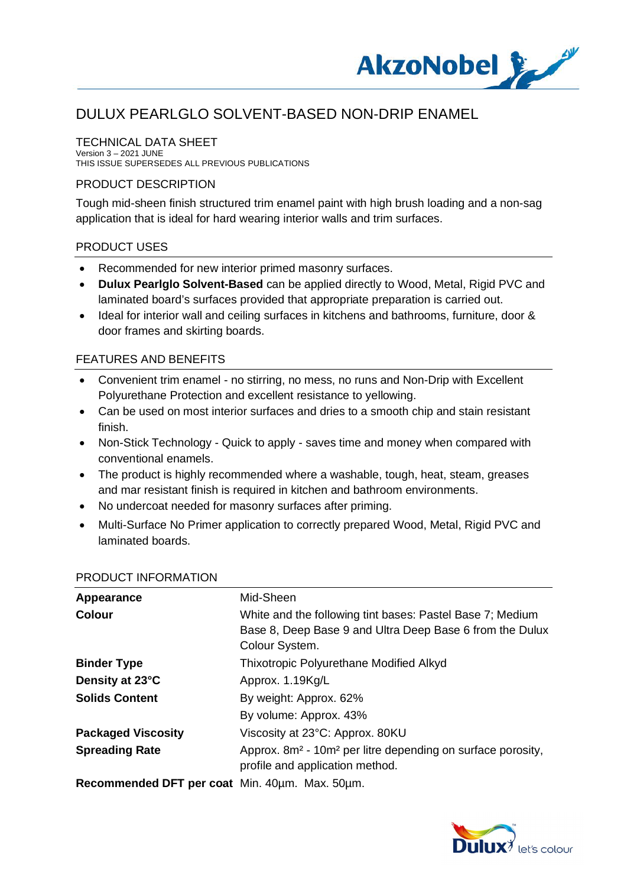

#### TECHNICAL DATA SHEET

Version 3 – 2021 JUNE THIS ISSUE SUPERSEDES ALL PREVIOUS PUBLICATIONS

#### PRODUCT DESCRIPTION

Tough mid-sheen finish structured trim enamel paint with high brush loading and a non-sag application that is ideal for hard wearing interior walls and trim surfaces.

#### PRODUCT USES

- · Recommended for new interior primed masonry surfaces.
- · **Dulux Pearlglo Solvent-Based** can be applied directly to Wood, Metal, Rigid PVC and laminated board's surfaces provided that appropriate preparation is carried out.
- · Ideal for interior wall and ceiling surfaces in kitchens and bathrooms, furniture, door & door frames and skirting boards.

## FEATURES AND BENEFITS

- · Convenient trim enamel no stirring, no mess, no runs and Non-Drip with Excellent Polyurethane Protection and excellent resistance to yellowing.
- · Can be used on most interior surfaces and dries to a smooth chip and stain resistant finish.
- · Non-Stick Technology Quick to apply saves time and money when compared with conventional enamels.
- The product is highly recommended where a washable, tough, heat, steam, greases and mar resistant finish is required in kitchen and bathroom environments.
- · No undercoat needed for masonry surfaces after priming.
- · Multi-Surface No Primer application to correctly prepared Wood, Metal, Rigid PVC and laminated boards.

| Appearance                                                                        | Mid-Sheen                                                                           |
|-----------------------------------------------------------------------------------|-------------------------------------------------------------------------------------|
| <b>Colour</b>                                                                     | White and the following tint bases: Pastel Base 7; Medium                           |
|                                                                                   | Base 8, Deep Base 9 and Ultra Deep Base 6 from the Dulux                            |
|                                                                                   | Colour System.                                                                      |
| <b>Binder Type</b>                                                                | Thixotropic Polyurethane Modified Alkyd                                             |
| Density at 23°C                                                                   | Approx. 1.19Kg/L                                                                    |
| <b>Solids Content</b>                                                             | By weight: Approx. 62%                                                              |
|                                                                                   | By volume: Approx. 43%                                                              |
| <b>Packaged Viscosity</b>                                                         | Viscosity at 23°C: Approx. 80KU                                                     |
| <b>Spreading Rate</b>                                                             | Approx. 8m <sup>2</sup> - 10m <sup>2</sup> per litre depending on surface porosity, |
|                                                                                   | profile and application method.                                                     |
| <b>December of DET</b> per sect $Min$ $10 \text{nm}$ $10 \text{m}$ $E0 \text{nm}$ |                                                                                     |

#### PRODUCT INFORMATION

**Recommended DFT per coat** Min. 40µm. Max. 50µm.

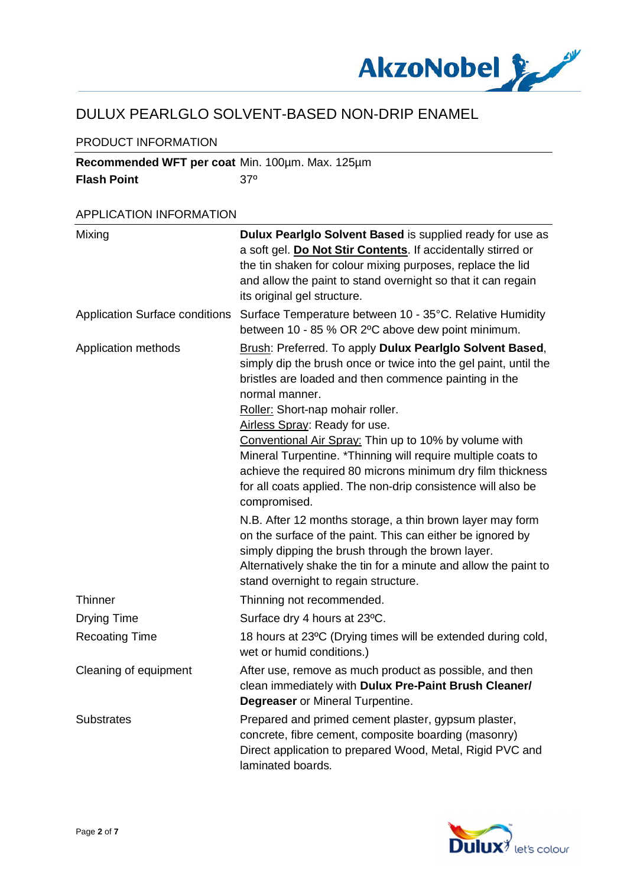

## PRODUCT INFORMATION

**Recommended WFT per coat** Min. 100µm. Max. 125µm **Flash Point** 37<sup>°</sup>

## APPLICATION INFORMATION

| Mixing                                | Dulux Pearlglo Solvent Based is supplied ready for use as<br>a soft gel. Do Not Stir Contents. If accidentally stirred or<br>the tin shaken for colour mixing purposes, replace the lid<br>and allow the paint to stand overnight so that it can regain<br>its original gel structure.                                                                                                                                                                              |
|---------------------------------------|---------------------------------------------------------------------------------------------------------------------------------------------------------------------------------------------------------------------------------------------------------------------------------------------------------------------------------------------------------------------------------------------------------------------------------------------------------------------|
| <b>Application Surface conditions</b> | Surface Temperature between 10 - 35°C. Relative Humidity<br>between 10 - 85 % OR 2°C above dew point minimum.                                                                                                                                                                                                                                                                                                                                                       |
| Application methods                   | Brush: Preferred. To apply Dulux Pearlglo Solvent Based,<br>simply dip the brush once or twice into the gel paint, until the<br>bristles are loaded and then commence painting in the<br>normal manner.<br>Roller: Short-nap mohair roller.<br>Airless Spray: Ready for use.<br>Conventional Air Spray: Thin up to 10% by volume with<br>Mineral Turpentine. *Thinning will require multiple coats to<br>achieve the required 80 microns minimum dry film thickness |
|                                       | for all coats applied. The non-drip consistence will also be<br>compromised.                                                                                                                                                                                                                                                                                                                                                                                        |
|                                       | N.B. After 12 months storage, a thin brown layer may form<br>on the surface of the paint. This can either be ignored by<br>simply dipping the brush through the brown layer.<br>Alternatively shake the tin for a minute and allow the paint to<br>stand overnight to regain structure.                                                                                                                                                                             |
| Thinner                               | Thinning not recommended.                                                                                                                                                                                                                                                                                                                                                                                                                                           |
| <b>Drying Time</b>                    | Surface dry 4 hours at 23°C.                                                                                                                                                                                                                                                                                                                                                                                                                                        |
| <b>Recoating Time</b>                 | 18 hours at 23°C (Drying times will be extended during cold,<br>wet or humid conditions.)                                                                                                                                                                                                                                                                                                                                                                           |
| Cleaning of equipment                 | After use, remove as much product as possible, and then<br>clean immediately with Dulux Pre-Paint Brush Cleaner/<br>Degreaser or Mineral Turpentine.                                                                                                                                                                                                                                                                                                                |
| <b>Substrates</b>                     | Prepared and primed cement plaster, gypsum plaster,<br>concrete, fibre cement, composite boarding (masonry)<br>Direct application to prepared Wood, Metal, Rigid PVC and<br>laminated boards.                                                                                                                                                                                                                                                                       |

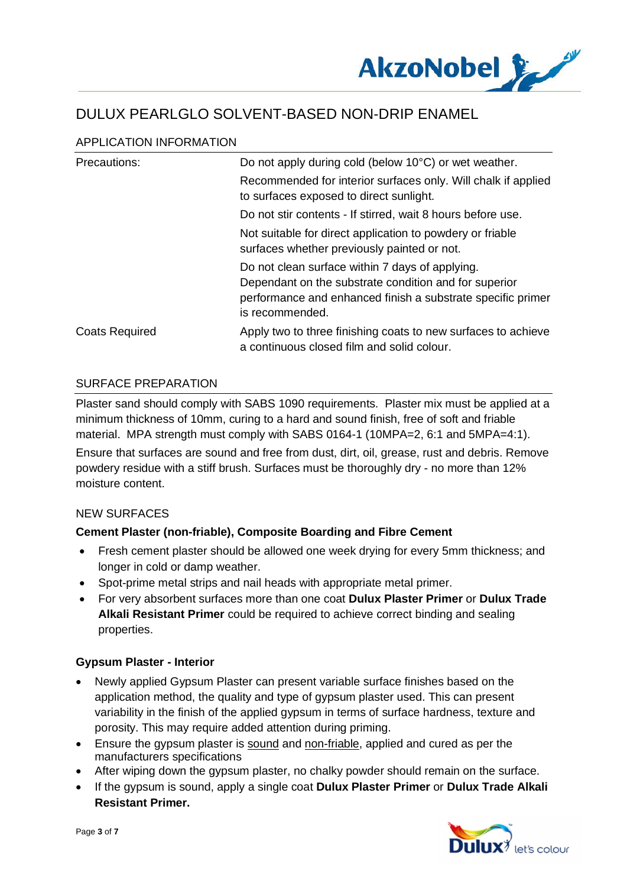

## APPLICATION INFORMATION

| Precautions:          | Do not apply during cold (below 10°C) or wet weather.                                                                                                                                      |
|-----------------------|--------------------------------------------------------------------------------------------------------------------------------------------------------------------------------------------|
|                       | Recommended for interior surfaces only. Will chalk if applied<br>to surfaces exposed to direct sunlight.                                                                                   |
|                       | Do not stir contents - If stirred, wait 8 hours before use.                                                                                                                                |
|                       | Not suitable for direct application to powdery or friable<br>surfaces whether previously painted or not.                                                                                   |
|                       | Do not clean surface within 7 days of applying.<br>Dependant on the substrate condition and for superior<br>performance and enhanced finish a substrate specific primer<br>is recommended. |
| <b>Coats Required</b> | Apply two to three finishing coats to new surfaces to achieve<br>a continuous closed film and solid colour.                                                                                |

## SURFACE PREPARATION

Plaster sand should comply with SABS 1090 requirements. Plaster mix must be applied at a minimum thickness of 10mm, curing to a hard and sound finish, free of soft and friable material. MPA strength must comply with SABS 0164-1 (10MPA=2, 6:1 and 5MPA=4:1).

Ensure that surfaces are sound and free from dust, dirt, oil, grease, rust and debris. Remove powdery residue with a stiff brush. Surfaces must be thoroughly dry - no more than 12% moisture content.

#### NEW SURFACES

## **Cement Plaster (non-friable), Composite Boarding and Fibre Cement**

- · Fresh cement plaster should be allowed one week drying for every 5mm thickness; and longer in cold or damp weather.
- · Spot-prime metal strips and nail heads with appropriate metal primer.
- · For very absorbent surfaces more than one coat **Dulux Plaster Primer** or **Dulux Trade Alkali Resistant Primer** could be required to achieve correct binding and sealing properties.

#### **Gypsum Plaster - Interior**

- Newly applied Gypsum Plaster can present variable surface finishes based on the application method, the quality and type of gypsum plaster used. This can present variability in the finish of the applied gypsum in terms of surface hardness, texture and porosity. This may require added attention during priming.
- · Ensure the gypsum plaster is sound and non-friable, applied and cured as per the manufacturers specifications
- · After wiping down the gypsum plaster, no chalky powder should remain on the surface.
- · If the gypsum is sound, apply a single coat **Dulux Plaster Primer** or **Dulux Trade Alkali Resistant Primer.**

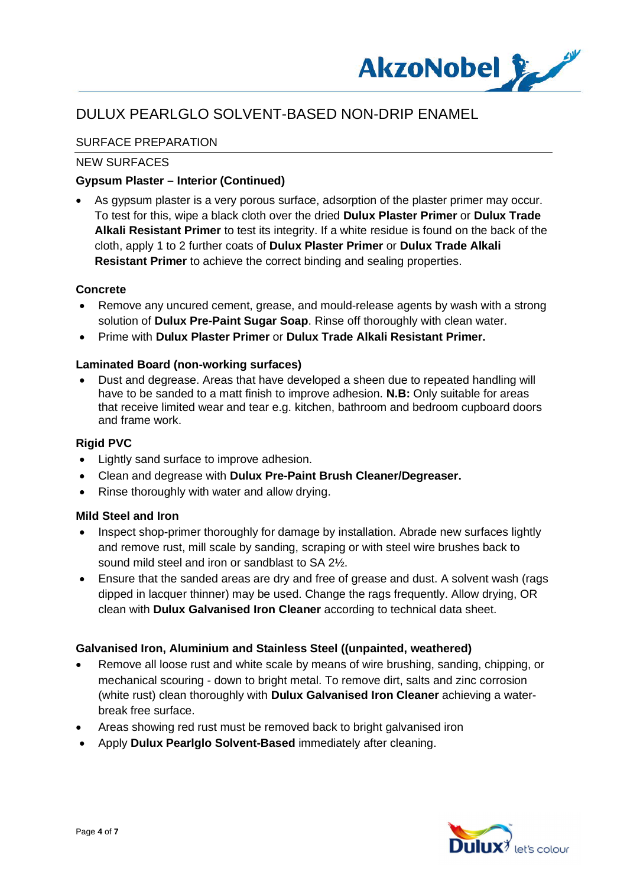

## SURFACE PREPARATION

## NEW SURFACES

## **Gypsum Plaster – Interior (Continued)**

· As gypsum plaster is a very porous surface, adsorption of the plaster primer may occur. To test for this, wipe a black cloth over the dried **Dulux Plaster Primer** or **Dulux Trade Alkali Resistant Primer** to test its integrity. If a white residue is found on the back of the cloth, apply 1 to 2 further coats of **Dulux Plaster Primer** or **Dulux Trade Alkali Resistant Primer** to achieve the correct binding and sealing properties.

## **Concrete**

- · Remove any uncured cement, grease, and mould-release agents by wash with a strong solution of **Dulux Pre-Paint Sugar Soap**. Rinse off thoroughly with clean water.
- · Prime with **Dulux Plaster Primer** or **Dulux Trade Alkali Resistant Primer.**

#### **Laminated Board (non-working surfaces)**

Dust and degrease. Areas that have developed a sheen due to repeated handling will have to be sanded to a matt finish to improve adhesion. **N.B:** Only suitable for areas that receive limited wear and tear e.g. kitchen, bathroom and bedroom cupboard doors and frame work.

## **Rigid PVC**

- · Lightly sand surface to improve adhesion.
- · Clean and degrease with **Dulux Pre-Paint Brush Cleaner/Degreaser.**
- Rinse thoroughly with water and allow drying.

#### **Mild Steel and Iron**

- Inspect shop-primer thoroughly for damage by installation. Abrade new surfaces lightly and remove rust, mill scale by sanding, scraping or with steel wire brushes back to sound mild steel and iron or sandblast to SA 2½.
- Ensure that the sanded areas are dry and free of grease and dust. A solvent wash (rags dipped in lacquer thinner) may be used. Change the rags frequently. Allow drying, OR clean with **Dulux Galvanised Iron Cleaner** according to technical data sheet.

#### **Galvanised Iron, Aluminium and Stainless Steel ((unpainted, weathered)**

- Remove all loose rust and white scale by means of wire brushing, sanding, chipping, or mechanical scouring - down to bright metal. To remove dirt, salts and zinc corrosion (white rust) clean thoroughly with **Dulux Galvanised Iron Cleaner** achieving a waterbreak free surface.
- · Areas showing red rust must be removed back to bright galvanised iron
- · Apply **Dulux Pearlglo Solvent-Based** immediately after cleaning.

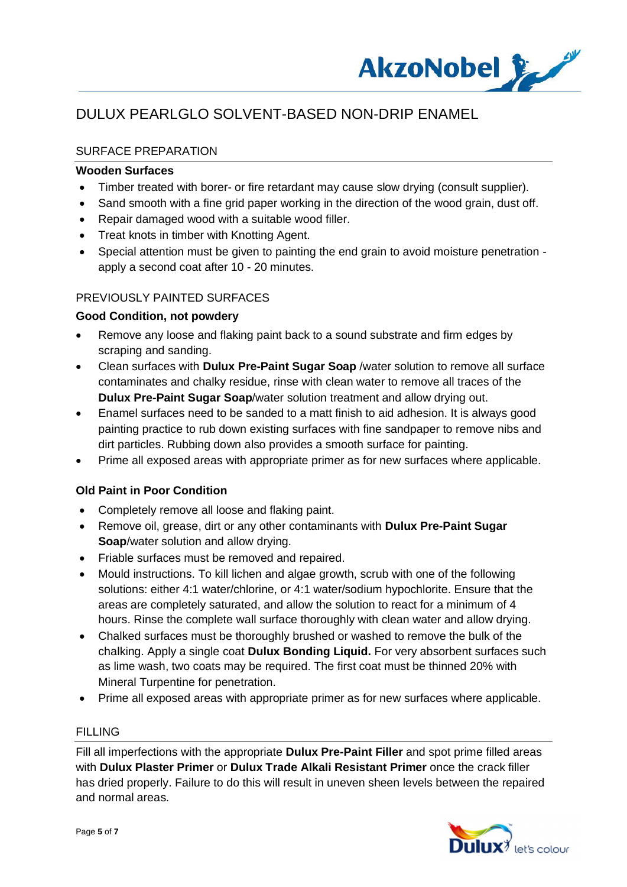

## SURFACE PREPARATION

#### **Wooden Surfaces**

- · Timber treated with borer- or fire retardant may cause slow drying (consult supplier).
- Sand smooth with a fine grid paper working in the direction of the wood grain, dust off.
- · Repair damaged wood with a suitable wood filler.
- · Treat knots in timber with Knotting Agent.
- · Special attention must be given to painting the end grain to avoid moisture penetration apply a second coat after 10 - 20 minutes.

## PREVIOUSLY PAINTED SURFACES

#### **Good Condition, not powdery**

- · Remove any loose and flaking paint back to a sound substrate and firm edges by scraping and sanding.
- · Clean surfaces with **Dulux Pre-Paint Sugar Soap** /water solution to remove all surface contaminates and chalky residue, rinse with clean water to remove all traces of the **Dulux Pre-Paint Sugar Soap**/water solution treatment and allow drying out.
- · Enamel surfaces need to be sanded to a matt finish to aid adhesion. It is always good painting practice to rub down existing surfaces with fine sandpaper to remove nibs and dirt particles. Rubbing down also provides a smooth surface for painting.
- · Prime all exposed areas with appropriate primer as for new surfaces where applicable.

#### **Old Paint in Poor Condition**

- · Completely remove all loose and flaking paint.
- · Remove oil, grease, dirt or any other contaminants with **Dulux Pre-Paint Sugar Soap**/water solution and allow drying.
- · Friable surfaces must be removed and repaired.
- · Mould instructions. To kill lichen and algae growth, scrub with one of the following solutions: either 4:1 water/chlorine, or 4:1 water/sodium hypochlorite. Ensure that the areas are completely saturated, and allow the solution to react for a minimum of 4 hours. Rinse the complete wall surface thoroughly with clean water and allow drying.
- · Chalked surfaces must be thoroughly brushed or washed to remove the bulk of the chalking. Apply a single coat **Dulux Bonding Liquid.** For very absorbent surfaces such as lime wash, two coats may be required. The first coat must be thinned 20% with Mineral Turpentine for penetration.
- · Prime all exposed areas with appropriate primer as for new surfaces where applicable.

#### **FILLING**

Fill all imperfections with the appropriate **Dulux Pre-Paint Filler** and spot prime filled areas with **Dulux Plaster Primer** or **Dulux Trade Alkali Resistant Primer** once the crack filler has dried properly. Failure to do this will result in uneven sheen levels between the repaired and normal areas.

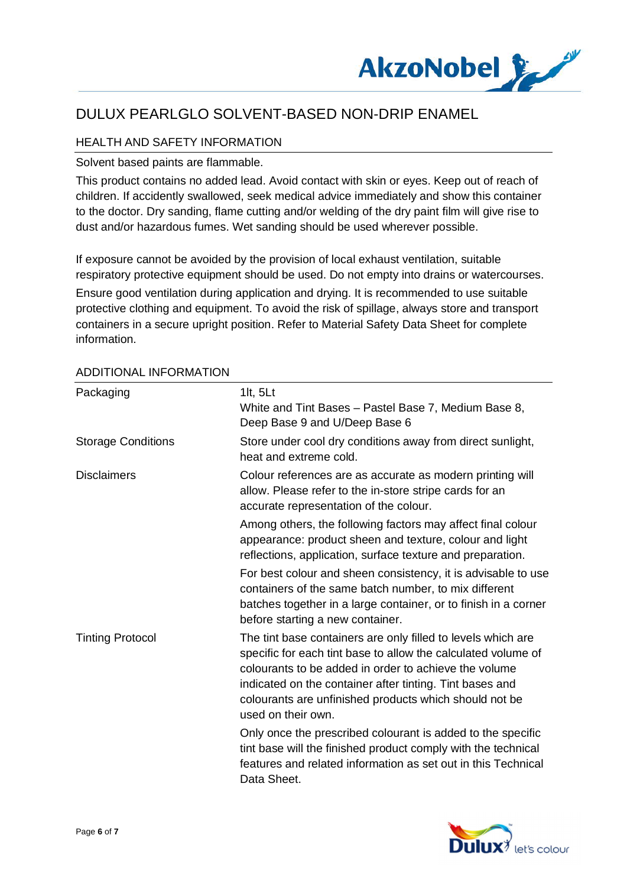

## HEALTH AND SAFETY INFORMATION

Solvent based paints are flammable.

This product contains no added lead. Avoid contact with skin or eyes. Keep out of reach of children. If accidently swallowed, seek medical advice immediately and show this container to the doctor. Dry sanding, flame cutting and/or welding of the dry paint film will give rise to dust and/or hazardous fumes. Wet sanding should be used wherever possible.

If exposure cannot be avoided by the provision of local exhaust ventilation, suitable respiratory protective equipment should be used. Do not empty into drains or watercourses. Ensure good ventilation during application and drying. It is recommended to use suitable protective clothing and equipment. To avoid the risk of spillage, always store and transport containers in a secure upright position. Refer to Material Safety Data Sheet for complete information.

| Packaging                 | 1 $t, 5Lt$<br>White and Tint Bases - Pastel Base 7, Medium Base 8,<br>Deep Base 9 and U/Deep Base 6                                                                                                                                                                                                                                |
|---------------------------|------------------------------------------------------------------------------------------------------------------------------------------------------------------------------------------------------------------------------------------------------------------------------------------------------------------------------------|
| <b>Storage Conditions</b> | Store under cool dry conditions away from direct sunlight,<br>heat and extreme cold.                                                                                                                                                                                                                                               |
| <b>Disclaimers</b>        | Colour references are as accurate as modern printing will<br>allow. Please refer to the in-store stripe cards for an<br>accurate representation of the colour.                                                                                                                                                                     |
|                           | Among others, the following factors may affect final colour<br>appearance: product sheen and texture, colour and light<br>reflections, application, surface texture and preparation.                                                                                                                                               |
|                           | For best colour and sheen consistency, it is advisable to use<br>containers of the same batch number, to mix different<br>batches together in a large container, or to finish in a corner<br>before starting a new container.                                                                                                      |
| <b>Tinting Protocol</b>   | The tint base containers are only filled to levels which are<br>specific for each tint base to allow the calculated volume of<br>colourants to be added in order to achieve the volume<br>indicated on the container after tinting. Tint bases and<br>colourants are unfinished products which should not be<br>used on their own. |
|                           | Only once the prescribed colourant is added to the specific<br>tint base will the finished product comply with the technical<br>features and related information as set out in this Technical<br>Data Sheet.                                                                                                                       |

## ADDITIONAL INFORMATION